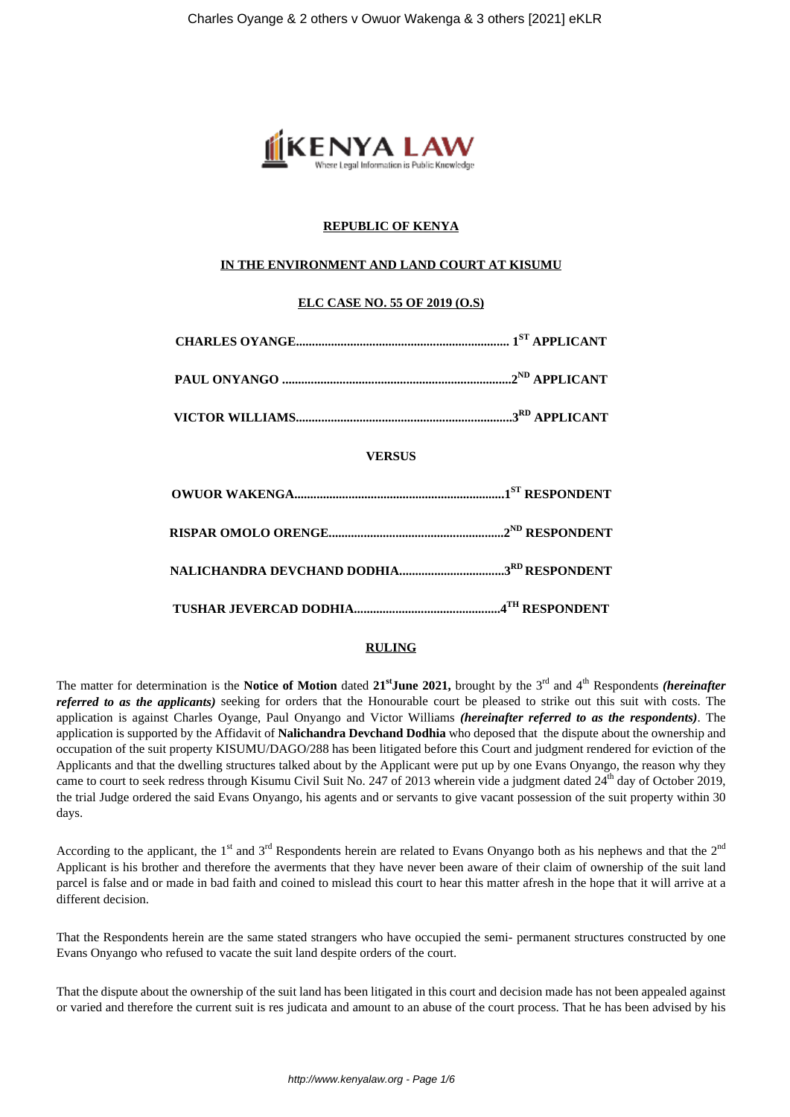

# **REPUBLIC OF KENYA**

## **IN THE ENVIRONMENT AND LAND COURT AT KISUMU**

## **ELC CASE NO. 55 OF 2019 (O.S)**

| <b>VERSUS</b> |  |
|---------------|--|
|               |  |
|               |  |
|               |  |
|               |  |

## **RULING**

The matter for determination is the **Notice of Motion** dated **21stJune 2021,** brought by the 3rd and 4th Respondents *(hereinafter referred to as the applicants)* seeking for orders that the Honourable court be pleased to strike out this suit with costs. The application is against Charles Oyange, Paul Onyango and Victor Williams *(hereinafter referred to as the respondents)*. The application is supported by the Affidavit of **Nalichandra Devchand Dodhia** who deposed that the dispute about the ownership and occupation of the suit property KISUMU/DAGO/288 has been litigated before this Court and judgment rendered for eviction of the Applicants and that the dwelling structures talked about by the Applicant were put up by one Evans Onyango, the reason why they came to court to seek redress through Kisumu Civil Suit No. 247 of 2013 wherein vide a judgment dated  $24<sup>th</sup>$  day of October 2019, the trial Judge ordered the said Evans Onyango, his agents and or servants to give vacant possession of the suit property within 30 days.

According to the applicant, the 1<sup>st</sup> and 3<sup>rd</sup> Respondents herein are related to Evans Onyango both as his nephews and that the 2<sup>nd</sup> Applicant is his brother and therefore the averments that they have never been aware of their claim of ownership of the suit land parcel is false and or made in bad faith and coined to mislead this court to hear this matter afresh in the hope that it will arrive at a different decision.

That the Respondents herein are the same stated strangers who have occupied the semi- permanent structures constructed by one Evans Onyango who refused to vacate the suit land despite orders of the court.

That the dispute about the ownership of the suit land has been litigated in this court and decision made has not been appealed against or varied and therefore the current suit is res judicata and amount to an abuse of the court process. That he has been advised by his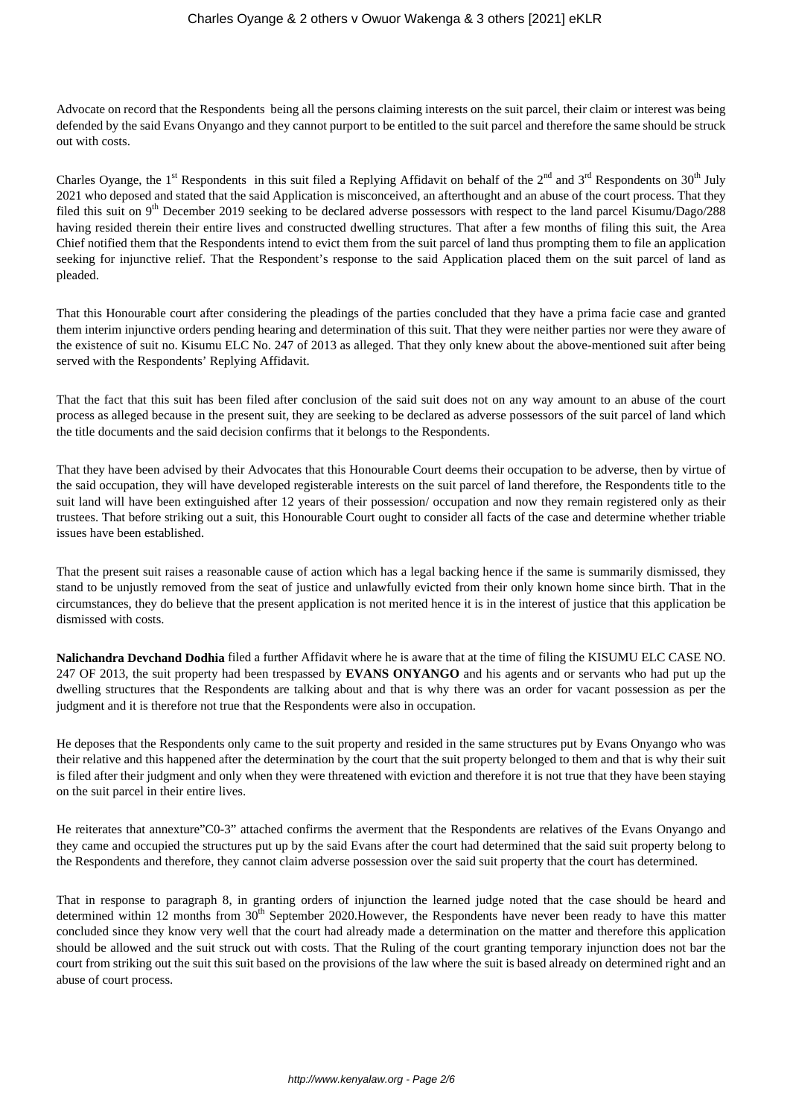Advocate on record that the Respondents being all the persons claiming interests on the suit parcel, their claim or interest was being defended by the said Evans Onyango and they cannot purport to be entitled to the suit parcel and therefore the same should be struck out with costs.

Charles Oyange, the 1<sup>st</sup> Respondents in this suit filed a Replying Affidavit on behalf of the 2<sup>nd</sup> and 3<sup>rd</sup> Respondents on 30<sup>th</sup> July 2021 who deposed and stated that the said Application is misconceived, an afterthought and an abuse of the court process. That they filed this suit on 9<sup>th</sup> December 2019 seeking to be declared adverse possessors with respect to the land parcel Kisumu/Dago/288 having resided therein their entire lives and constructed dwelling structures. That after a few months of filing this suit, the Area Chief notified them that the Respondents intend to evict them from the suit parcel of land thus prompting them to file an application seeking for injunctive relief. That the Respondent's response to the said Application placed them on the suit parcel of land as pleaded.

That this Honourable court after considering the pleadings of the parties concluded that they have a prima facie case and granted them interim injunctive orders pending hearing and determination of this suit. That they were neither parties nor were they aware of the existence of suit no. Kisumu ELC No. 247 of 2013 as alleged. That they only knew about the above-mentioned suit after being served with the Respondents' Replying Affidavit.

That the fact that this suit has been filed after conclusion of the said suit does not on any way amount to an abuse of the court process as alleged because in the present suit, they are seeking to be declared as adverse possessors of the suit parcel of land which the title documents and the said decision confirms that it belongs to the Respondents.

That they have been advised by their Advocates that this Honourable Court deems their occupation to be adverse, then by virtue of the said occupation, they will have developed registerable interests on the suit parcel of land therefore, the Respondents title to the suit land will have been extinguished after 12 years of their possession/ occupation and now they remain registered only as their trustees. That before striking out a suit, this Honourable Court ought to consider all facts of the case and determine whether triable issues have been established.

That the present suit raises a reasonable cause of action which has a legal backing hence if the same is summarily dismissed, they stand to be unjustly removed from the seat of justice and unlawfully evicted from their only known home since birth. That in the circumstances, they do believe that the present application is not merited hence it is in the interest of justice that this application be dismissed with costs.

**Nalichandra Devchand Dodhia** filed a further Affidavit where he is aware that at the time of filing the KISUMU ELC CASE NO. 247 OF 2013, the suit property had been trespassed by **EVANS ONYANGO** and his agents and or servants who had put up the dwelling structures that the Respondents are talking about and that is why there was an order for vacant possession as per the judgment and it is therefore not true that the Respondents were also in occupation.

He deposes that the Respondents only came to the suit property and resided in the same structures put by Evans Onyango who was their relative and this happened after the determination by the court that the suit property belonged to them and that is why their suit is filed after their judgment and only when they were threatened with eviction and therefore it is not true that they have been staying on the suit parcel in their entire lives.

He reiterates that annexture"C0-3" attached confirms the averment that the Respondents are relatives of the Evans Onyango and they came and occupied the structures put up by the said Evans after the court had determined that the said suit property belong to the Respondents and therefore, they cannot claim adverse possession over the said suit property that the court has determined.

That in response to paragraph 8, in granting orders of injunction the learned judge noted that the case should be heard and determined within 12 months from  $30<sup>th</sup>$  September 2020.However, the Respondents have never been ready to have this matter concluded since they know very well that the court had already made a determination on the matter and therefore this application should be allowed and the suit struck out with costs. That the Ruling of the court granting temporary injunction does not bar the court from striking out the suit this suit based on the provisions of the law where the suit is based already on determined right and an abuse of court process.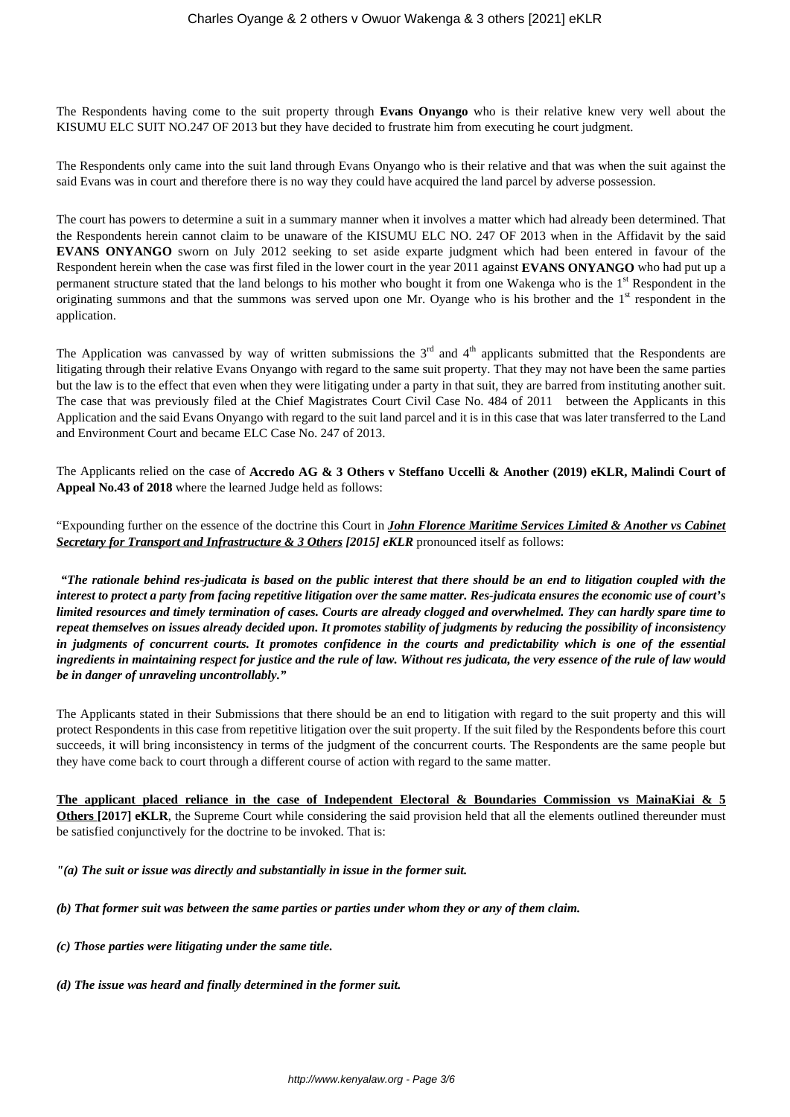The Respondents having come to the suit property through **Evans Onyango** who is their relative knew very well about the KISUMU ELC SUIT NO.247 OF 2013 but they have decided to frustrate him from executing he court judgment.

The Respondents only came into the suit land through Evans Onyango who is their relative and that was when the suit against the said Evans was in court and therefore there is no way they could have acquired the land parcel by adverse possession.

The court has powers to determine a suit in a summary manner when it involves a matter which had already been determined. That the Respondents herein cannot claim to be unaware of the KISUMU ELC NO. 247 OF 2013 when in the Affidavit by the said **EVANS ONYANGO** sworn on July 2012 seeking to set aside exparte judgment which had been entered in favour of the Respondent herein when the case was first filed in the lower court in the year 2011 against **EVANS ONYANGO** who had put up a permanent structure stated that the land belongs to his mother who bought it from one Wakenga who is the 1<sup>st</sup> Respondent in the originating summons and that the summons was served upon one Mr. Oyange who is his brother and the  $1<sup>st</sup>$  respondent in the application.

The Application was canvassed by way of written submissions the  $3<sup>rd</sup>$  and  $4<sup>th</sup>$  applicants submitted that the Respondents are litigating through their relative Evans Onyango with regard to the same suit property. That they may not have been the same parties but the law is to the effect that even when they were litigating under a party in that suit, they are barred from instituting another suit. The case that was previously filed at the Chief Magistrates Court Civil Case No. 484 of 2011 between the Applicants in this Application and the said Evans Onyango with regard to the suit land parcel and it is in this case that was later transferred to the Land and Environment Court and became ELC Case No. 247 of 2013.

The Applicants relied on the case of **Accredo AG & 3 Others v Steffano Uccelli & Another (2019) eKLR, Malindi Court of Appeal No.43 of 2018** where the learned Judge held as follows:

"Expounding further on the essence of the doctrine this Court in *John Florence Maritime Services Limited & Another vs Cabinet Secretary for Transport and Infrastructure & 3 Others [2015] eKLR* pronounced itself as follows:

*"The rationale behind res-judicata is based on the public interest that there should be an end to litigation coupled with the interest to protect a party from facing repetitive litigation over the same matter. Res-judicata ensures the economic use of court's limited resources and timely termination of cases. Courts are already clogged and overwhelmed. They can hardly spare time to repeat themselves on issues already decided upon. It promotes stability of judgments by reducing the possibility of inconsistency in judgments of concurrent courts. It promotes confidence in the courts and predictability which is one of the essential ingredients in maintaining respect for justice and the rule of law. Without res judicata, the very essence of the rule of law would be in danger of unraveling uncontrollably."*

The Applicants stated in their Submissions that there should be an end to litigation with regard to the suit property and this will protect Respondents in this case from repetitive litigation over the suit property. If the suit filed by the Respondents before this court succeeds, it will bring inconsistency in terms of the judgment of the concurrent courts. The Respondents are the same people but they have come back to court through a different course of action with regard to the same matter.

**The applicant placed reliance in the case of Independent Electoral & Boundaries Commission vs MainaKiai & 5 Others** [2017] **eKLR**, the Supreme Court while considering the said provision held that all the elements outlined thereunder must be satisfied conjunctively for the doctrine to be invoked. That is:

*"(a) The suit or issue was directly and substantially in issue in the former suit.*

*(b) That former suit was between the same parties or parties under whom they or any of them claim.*

- *(c) Those parties were litigating under the same title.*
- *(d) The issue was heard and finally determined in the former suit.*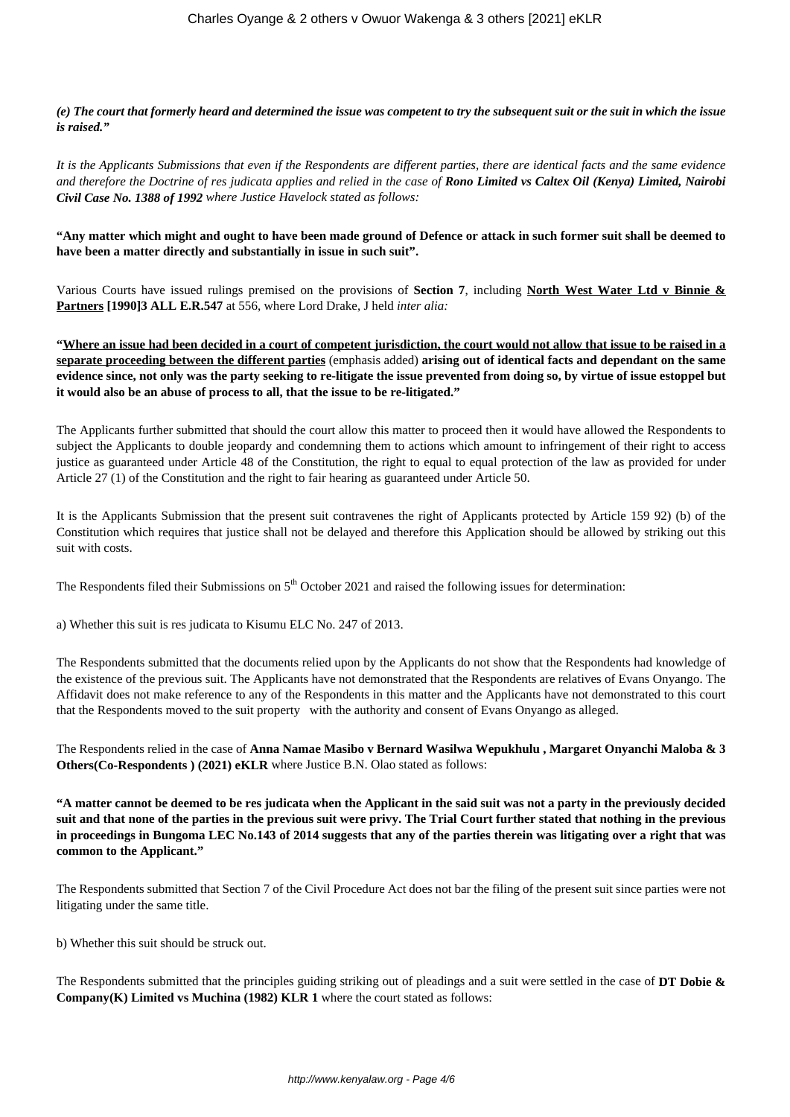*(e) The court that formerly heard and determined the issue was competent to try the subsequent suit or the suit in which the issue is raised."*

*It is the Applicants Submissions that even if the Respondents are different parties, there are identical facts and the same evidence and therefore the Doctrine of res judicata applies and relied in the case of Rono Limited vs Caltex Oil (Kenya) Limited, Nairobi Civil Case No. 1388 of 1992 where Justice Havelock stated as follows:*

**"Any matter which might and ought to have been made ground of Defence or attack in such former suit shall be deemed to have been a matter directly and substantially in issue in such suit".**

Various Courts have issued rulings premised on the provisions of **Section 7**, including **North West Water Ltd v Binnie & Partners [1990]3 ALL E.R.547** at 556, where Lord Drake, J held *inter alia:*

**"Where an issue had been decided in a court of competent jurisdiction, the court would not allow that issue to be raised in a separate proceeding between the different parties** (emphasis added) **arising out of identical facts and dependant on the same evidence since, not only was the party seeking to re-litigate the issue prevented from doing so, by virtue of issue estoppel but it would also be an abuse of process to all, that the issue to be re-litigated."**

The Applicants further submitted that should the court allow this matter to proceed then it would have allowed the Respondents to subject the Applicants to double jeopardy and condemning them to actions which amount to infringement of their right to access justice as guaranteed under Article 48 of the Constitution, the right to equal to equal protection of the law as provided for under Article 27 (1) of the Constitution and the right to fair hearing as guaranteed under Article 50.

It is the Applicants Submission that the present suit contravenes the right of Applicants protected by Article 159 92) (b) of the Constitution which requires that justice shall not be delayed and therefore this Application should be allowed by striking out this suit with costs.

The Respondents filed their Submissions on 5<sup>th</sup> October 2021 and raised the following issues for determination:

a) Whether this suit is res judicata to Kisumu ELC No. 247 of 2013.

The Respondents submitted that the documents relied upon by the Applicants do not show that the Respondents had knowledge of the existence of the previous suit. The Applicants have not demonstrated that the Respondents are relatives of Evans Onyango. The Affidavit does not make reference to any of the Respondents in this matter and the Applicants have not demonstrated to this court that the Respondents moved to the suit property with the authority and consent of Evans Onyango as alleged.

The Respondents relied in the case of **Anna Namae Masibo v Bernard Wasilwa Wepukhulu , Margaret Onyanchi Maloba & 3 Others(Co-Respondents ) (2021) eKLR** where Justice B.N. Olao stated as follows:

**"A matter cannot be deemed to be res judicata when the Applicant in the said suit was not a party in the previously decided suit and that none of the parties in the previous suit were privy. The Trial Court further stated that nothing in the previous in proceedings in Bungoma LEC No.143 of 2014 suggests that any of the parties therein was litigating over a right that was common to the Applicant."**

The Respondents submitted that Section 7 of the Civil Procedure Act does not bar the filing of the present suit since parties were not litigating under the same title.

b) Whether this suit should be struck out.

The Respondents submitted that the principles guiding striking out of pleadings and a suit were settled in the case of **DT Dobie & Company(K) Limited vs Muchina (1982) KLR 1** where the court stated as follows: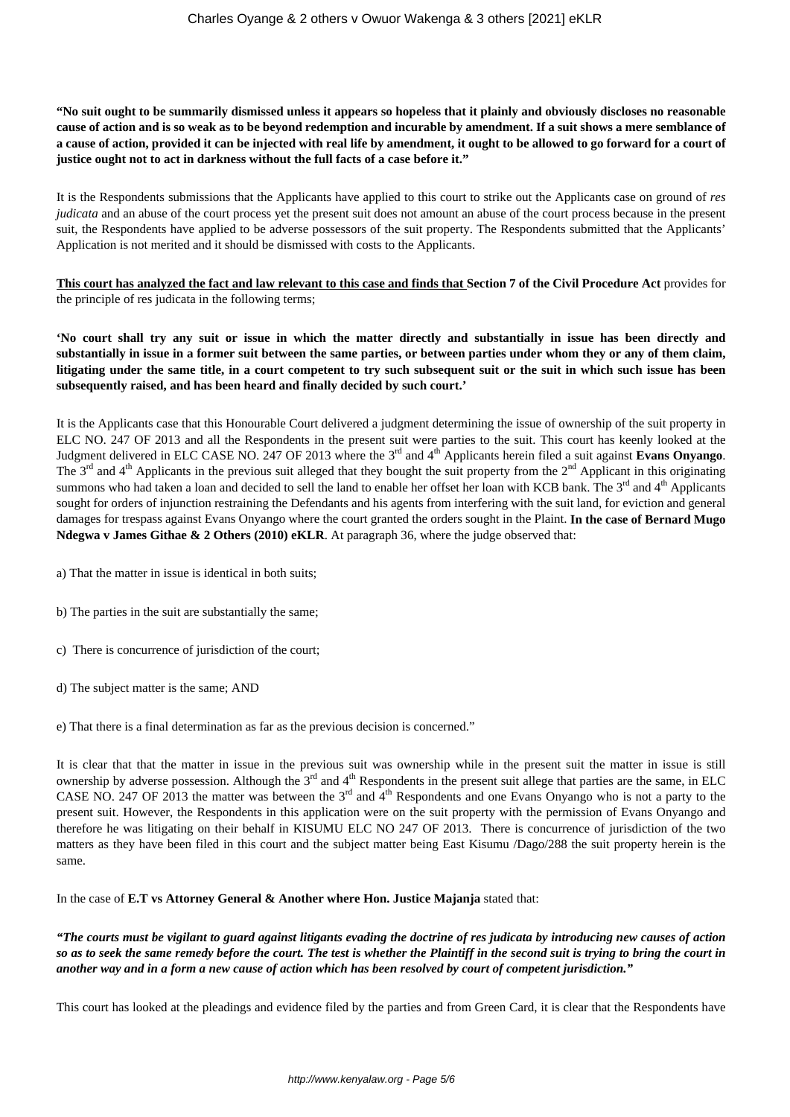**"No suit ought to be summarily dismissed unless it appears so hopeless that it plainly and obviously discloses no reasonable cause of action and is so weak as to be beyond redemption and incurable by amendment. If a suit shows a mere semblance of a cause of action, provided it can be injected with real life by amendment, it ought to be allowed to go forward for a court of justice ought not to act in darkness without the full facts of a case before it."**

It is the Respondents submissions that the Applicants have applied to this court to strike out the Applicants case on ground of *res judicata* and an abuse of the court process yet the present suit does not amount an abuse of the court process because in the present suit, the Respondents have applied to be adverse possessors of the suit property. The Respondents submitted that the Applicants' Application is not merited and it should be dismissed with costs to the Applicants.

**This court has analyzed the fact and law relevant to this case and finds that Section 7 of the Civil Procedure Act** provides for the principle of res judicata in the following terms;

**'No court shall try any suit or issue in which the matter directly and substantially in issue has been directly and substantially in issue in a former suit between the same parties, or between parties under whom they or any of them claim, litigating under the same title, in a court competent to try such subsequent suit or the suit in which such issue has been subsequently raised, and has been heard and finally decided by such court.'**

It is the Applicants case that this Honourable Court delivered a judgment determining the issue of ownership of the suit property in ELC NO. 247 OF 2013 and all the Respondents in the present suit were parties to the suit. This court has keenly looked at the Judgment delivered in ELC CASE NO. 247 OF 2013 where the 3rd and 4th Applicants herein filed a suit against **Evans Onyango**. The  $3<sup>rd</sup>$  and  $4<sup>th</sup>$  Applicants in the previous suit alleged that they bought the suit property from the  $2<sup>nd</sup>$  Applicant in this originating summons who had taken a loan and decided to sell the land to enable her offset her loan with KCB bank. The  $3^{rd}$  and  $4^{th}$  Applicants sought for orders of injunction restraining the Defendants and his agents from interfering with the suit land, for eviction and general damages for trespass against Evans Onyango where the court granted the orders sought in the Plaint. **In the case of Bernard Mugo Ndegwa v James Githae & 2 Others (2010) eKLR**. At paragraph 36, where the judge observed that:

- a) That the matter in issue is identical in both suits;
- b) The parties in the suit are substantially the same;
- c) There is concurrence of jurisdiction of the court;
- d) The subject matter is the same; AND

e) That there is a final determination as far as the previous decision is concerned."

It is clear that that the matter in issue in the previous suit was ownership while in the present suit the matter in issue is still ownership by adverse possession. Although the  $3<sup>rd</sup>$  and  $4<sup>th</sup>$  Respondents in the present suit allege that parties are the same, in ELC CASE NO. 247 OF 2013 the matter was between the  $3<sup>rd</sup>$  and  $4<sup>th</sup>$  Respondents and one Evans Onyango who is not a party to the present suit. However, the Respondents in this application were on the suit property with the permission of Evans Onyango and therefore he was litigating on their behalf in KISUMU ELC NO 247 OF 2013. There is concurrence of jurisdiction of the two matters as they have been filed in this court and the subject matter being East Kisumu /Dago/288 the suit property herein is the same.

In the case of **E.T vs Attorney General & Another where Hon. Justice Majanja** stated that:

*"The courts must be vigilant to guard against litigants evading the doctrine of res judicata by introducing new causes of action so as to seek the same remedy before the court. The test is whether the Plaintiff in the second suit is trying to bring the court in another way and in a form a new cause of action which has been resolved by court of competent jurisdiction."*

This court has looked at the pleadings and evidence filed by the parties and from Green Card, it is clear that the Respondents have